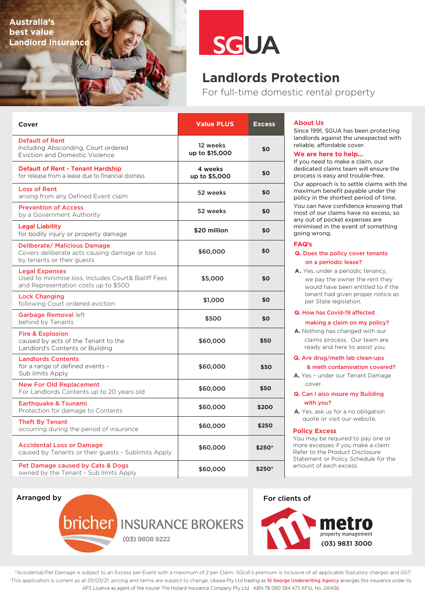**Australia's best value Landlord Insurance**



# **Landlords Protection**

For full-time domestic rental property

| Cover                                                                                                                | <b>Value PLUS</b>          | <b>Excess</b> |
|----------------------------------------------------------------------------------------------------------------------|----------------------------|---------------|
| <b>Default of Rent</b><br>Including Absconding, Court ordered<br><b>Eviction and Domestic Violence</b>               | 12 weeks<br>up to \$15,000 | \$0           |
| <b>Default of Rent - Tenant Hardship</b><br>for release from a lease due to financial distress                       | 4 weeks<br>up to \$5,000   | \$0           |
| <b>Loss of Rent</b><br>arising from any Defined Event claim                                                          | 52 weeks                   | \$0           |
| <b>Prevention of Access</b><br>by a Government Authority                                                             | 52 weeks                   | \$0           |
| <b>Legal Liability</b><br>for bodily injury or property damage                                                       | \$20 million               | \$0           |
| Deliberate/ Malicious Damage<br>Covers deliberate acts causing damage or loss<br>by tenants or their guests          | \$60,000                   | \$0           |
| <b>Legal Expenses</b><br>Used to minimise loss, Includes Court& Bailiff Fees<br>and Representation costs up to \$500 | \$5,000                    | \$0           |
| <b>Lock Changing</b><br>following Court ordered eviction                                                             | \$1,000                    | \$0           |
| Garbage Removal left<br>behind by Tenants                                                                            | \$500                      | \$0           |
| <b>Fire &amp; Explosion</b><br>caused by acts of the Tenant to the<br>Landlord's Contents or Building                | \$60,000                   | \$50          |
| <b>Landlords Contents</b><br>for a range of defined events -<br>Sub limits Apply                                     | \$60,000                   | \$50          |
| <b>New For Old Replacement</b><br>For Landlords Contents up to 20 years old                                          | \$60,000                   | \$50          |
| Earthquake & Tsunami<br>Protection for damage to Contents                                                            | \$60,000                   | \$200         |
| <b>Theft By Tenant</b><br>occurring during the period of insurance                                                   | \$60,000                   | \$250         |
| <b>Accidental Loss or Damage</b><br>caused by Tenants or their guests - Sublimits Apply                              | \$60,000                   | \$250*        |
| Pet Damage caused by Cats & Dogs<br>owned by the Tenant - Sub limits Apply                                           | \$60,000                   | \$250*        |

### **About Us**

Since 1991, SGUA has been protecting landlords against the unexpected with reliable, affordable cover.

### **We are here to help…**

If you need to make a claim, our dedicated claims team will ensure the process is easy and trouble-free.

Our approach is to settle claims with the maximum benefit payable under the policy in the shortest period of time.

You can have confidence knowing that most of our claims have no excess, so any out of pocket expenses are minimised in the event of something going wrong.

### **FAQ's**

### **Q.** Does the policy cover tenants on a periodic lease?

**A.** Yes, under a periodic tenancy, we pay the owner the rent they would have been entitled to if the tenant had given proper notice as per State legislation.

## **Q.** How has Covid-19 affected

### making a claim on my policy?

**A.** Nothing has changed with our claims process. Our team are ready and here to assist you.

### **Q.** Are drug/meth lab clean-ups

& meth contamination covered?

**A.** Yes – under our Tenant Damage cover.

**Q.** Can I also insure my Building with you?

**A.** Yes, ask us for a no obligation quote or visit our website.

#### **Policy Excess**

You may be required to pay one or more excesses if you make a claim. Refer to the Product Disclosure Statement or Policy Schedule for the amount of each excess.

Arranged by



**bricher** INSURANCE BROKERS (03) 9808 9222

For clients of



\*Accidental/Pet Damage is subject to an Excess per Event with a maximum of 2 per Claim. SGUA's premium is inclusive of all applicable Statutory charges and GST. This application is current as at 01/03/21, pricing and terms are subject to change. Ukawa Pty Ltd trading as St George Underwriting Agency arranges this insurance under its AFS Licence as agent of the insurer The Hollard Insurance Company Pty Ltd ABN 78 090 584 473 AFSL No. 241436.